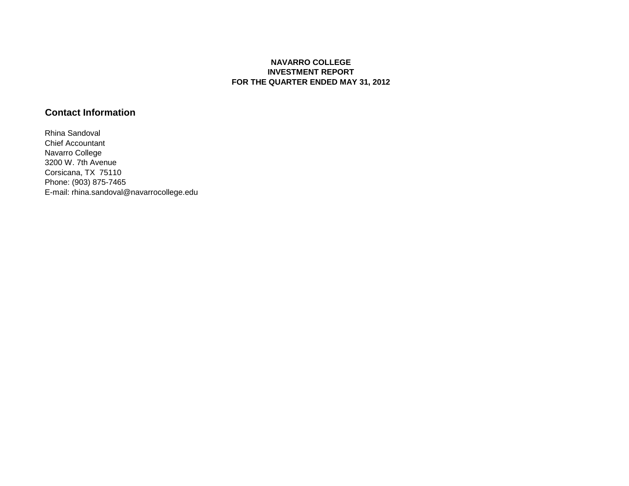## **NAVARRO COLLEGE INVESTMENT REPORT FOR THE QUARTER ENDED MAY 31, 2012**

## **Contact Information**

Rhina Sandoval Chief Accountant Navarro College 3200 W. 7th Avenue Corsicana, TX 75110 Phone: (903) 875-7465 E-mail: rhina.sandoval@navarrocollege.edu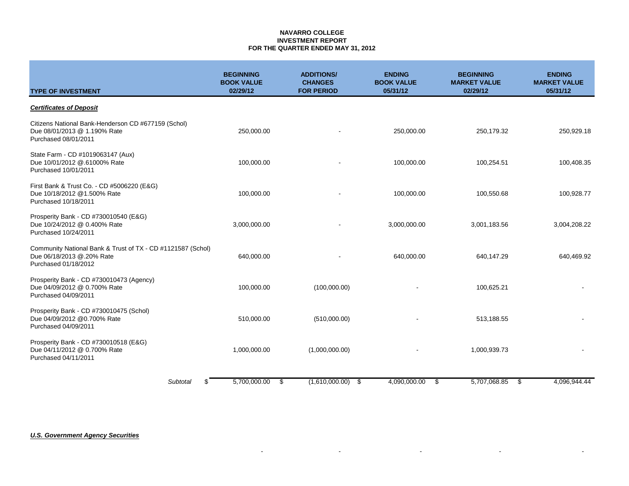### **NAVARRO COLLEGE INVESTMENT REPORT FOR THE QUARTER ENDED MAY 31, 2012**

| <b>TYPE OF INVESTMENT</b>                                                                                        | <b>BEGINNING</b><br><b>BOOK VALUE</b><br>02/29/12 | <b>ADDITIONS/</b><br><b>CHANGES</b><br><b>FOR PERIOD</b> | <b>ENDING</b><br><b>BOOK VALUE</b><br>05/31/12 | <b>BEGINNING</b><br><b>MARKET VALUE</b><br>02/29/12 | <b>ENDING</b><br><b>MARKET VALUE</b><br>05/31/12 |
|------------------------------------------------------------------------------------------------------------------|---------------------------------------------------|----------------------------------------------------------|------------------------------------------------|-----------------------------------------------------|--------------------------------------------------|
| <b>Certificates of Deposit</b>                                                                                   |                                                   |                                                          |                                                |                                                     |                                                  |
| Citizens National Bank-Henderson CD #677159 (Schol)<br>Due 08/01/2013 @ 1.190% Rate<br>Purchased 08/01/2011      | 250,000.00                                        |                                                          | 250,000.00                                     | 250,179.32                                          | 250,929.18                                       |
| State Farm - CD #1019063147 (Aux)<br>Due 10/01/2012 @.61000% Rate<br>Purchased 10/01/2011                        | 100,000.00                                        |                                                          | 100,000.00                                     | 100,254.51                                          | 100,408.35                                       |
| First Bank & Trust Co. - CD #5006220 (E&G)<br>Due 10/18/2012 @1.500% Rate<br>Purchased 10/18/2011                | 100,000.00                                        |                                                          | 100,000.00                                     | 100,550.68                                          | 100,928.77                                       |
| Prosperity Bank - CD #730010540 (E&G)<br>Due 10/24/2012 @ 0.400% Rate<br>Purchased 10/24/2011                    | 3,000,000.00                                      |                                                          | 3,000,000.00                                   | 3,001,183.56                                        | 3,004,208.22                                     |
| Community National Bank & Trust of TX - CD #1121587 (Schol)<br>Due 06/18/2013 @.20% Rate<br>Purchased 01/18/2012 | 640,000.00                                        |                                                          | 640,000.00                                     | 640,147.29                                          | 640,469.92                                       |
| Prosperity Bank - CD #730010473 (Agency)<br>Due 04/09/2012 @ 0.700% Rate<br>Purchased 04/09/2011                 | 100,000.00                                        | (100,000.00)                                             |                                                | 100,625.21                                          |                                                  |
| Prosperity Bank - CD #730010475 (Schol)<br>Due 04/09/2012 @0.700% Rate<br>Purchased 04/09/2011                   | 510,000.00                                        | (510,000.00)                                             |                                                | 513,188.55                                          |                                                  |
| Prosperity Bank - CD #730010518 (E&G)<br>Due 04/11/2012 @ 0.700% Rate<br>Purchased 04/11/2011                    | 1,000,000.00                                      | (1,000,000.00)                                           |                                                | 1,000,939.73                                        |                                                  |
| Subtotal<br>ß.                                                                                                   | 5,700,000.00                                      | \$<br>(1,610,000.00)<br>- \$                             | 4,090,000.00<br>\$                             | 5,707,068.85                                        | 4.096.944.44<br>- \$                             |

- - - - -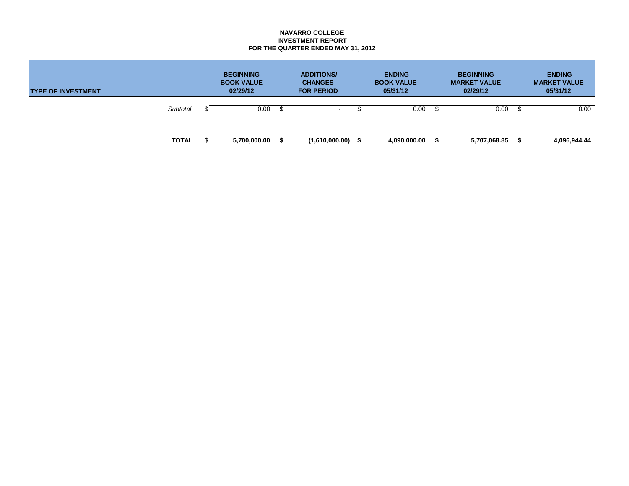### **NAVARRO COLLEGE INVESTMENT REPORT FOR THE QUARTER ENDED MAY 31, 2012**

| <b>TYPE OF INVESTMENT</b> |              |  | <b>BEGINNING</b><br><b>BOOK VALUE</b><br>02/29/12 |      | <b>ADDITIONS/</b><br><b>CHANGES</b><br><b>FOR PERIOD</b> |  | <b>ENDING</b><br><b>BOOK VALUE</b><br>05/31/12 |  | <b>BEGINNING</b><br><b>MARKET VALUE</b><br>02/29/12 |  | <b>ENDING</b><br><b>MARKET VALUE</b><br>05/31/12 |  |
|---------------------------|--------------|--|---------------------------------------------------|------|----------------------------------------------------------|--|------------------------------------------------|--|-----------------------------------------------------|--|--------------------------------------------------|--|
|                           | Subtotal     |  | 0.00                                              | -\$  | $\sim$                                                   |  | 0.00                                           |  | 0.00                                                |  | 0.00                                             |  |
|                           | <b>TOTAL</b> |  | 5,700,000.00                                      | - \$ | (1,610,000.00)                                           |  | 4,090,000.00                                   |  | 5,707,068.85                                        |  | 4,096,944.44                                     |  |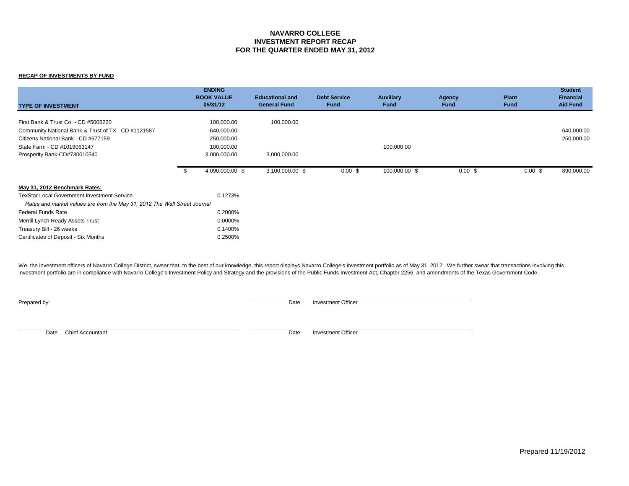### **NAVARRO COLLEGE INVESTMENT REPORT RECAP FOR THE QUARTER ENDED MAY 31, 2012**

#### **RECAP OF INVESTMENTS BY FUND**

| <b>TYPE OF INVESTMENT</b>                                                 |    | <b>ENDING</b><br><b>BOOK VALUE</b><br>05/31/12 | <b>Educational and</b><br><b>General Fund</b> | <b>Debt Service</b><br><b>Fund</b> | <b>Auxiliary</b><br><b>Fund</b> | <b>Agency</b><br><b>Fund</b> | <b>Plant</b><br>Fund | <b>Student</b><br><b>Financial</b><br><b>Aid Fund</b> |
|---------------------------------------------------------------------------|----|------------------------------------------------|-----------------------------------------------|------------------------------------|---------------------------------|------------------------------|----------------------|-------------------------------------------------------|
| First Bank & Trust Co. - CD #5006220                                      |    | 100,000.00                                     | 100,000.00                                    |                                    |                                 |                              |                      |                                                       |
|                                                                           |    |                                                |                                               |                                    |                                 |                              |                      |                                                       |
| Community National Bank & Trust of TX - CD #1121587                       |    | 640,000.00                                     |                                               |                                    |                                 |                              |                      | 640,000.00                                            |
| Citizens National Bank - CD #677159                                       |    | 250,000.00                                     |                                               |                                    |                                 |                              |                      | 250,000.00                                            |
| State Farm - CD #1019063147                                               |    | 100,000.00                                     |                                               |                                    | 100,000.00                      |                              |                      |                                                       |
| Prosperity Bank-CD#730010540                                              |    | 3,000,000.00                                   | 3,000,000.00                                  |                                    |                                 |                              |                      |                                                       |
|                                                                           | ზ. | 4,090,000.00 \$                                | 3,100,000.00 \$                               | $0.00 \text{ }$ \$                 | 100,000.00 \$                   | $0.00 \text{ }$ \$           | $0.00 \text{ }$ \$   | 890,000.00                                            |
| May 31, 2012 Benchmark Rates:                                             |    |                                                |                                               |                                    |                                 |                              |                      |                                                       |
| <b>TexStar Local Government Investment Service</b>                        |    | 0.1273%                                        |                                               |                                    |                                 |                              |                      |                                                       |
| Rates and market values are from the May 31, 2012 The Wall Street Journal |    |                                                |                                               |                                    |                                 |                              |                      |                                                       |
| Federal Funds Rate                                                        |    | 0.2000%                                        |                                               |                                    |                                 |                              |                      |                                                       |
| Merrill Lynch Ready Assets Trust                                          |    | 0.0000%                                        |                                               |                                    |                                 |                              |                      |                                                       |
| Treasury Bill - 26 weeks                                                  |    | 0.1400%                                        |                                               |                                    |                                 |                              |                      |                                                       |
| Certificates of Deposit - Six Months                                      |    | 0.2500%                                        |                                               |                                    |                                 |                              |                      |                                                       |

We, the investment officers of Navarro College District, swear that, to the best of our knowledge, this report displays Navarro College's investment portfolio as of May 31, 2012. We further swear that transactions involvin investment portfolio are in compliance with Navarro College's Investment Policy and Strategy and the provisions of the Public Funds Investment Act, Chapter 2256, and amendments of the Texas Government Code.

**Prepared by:** Date Investment Officer

Date Chief Accountant Date Investment Officer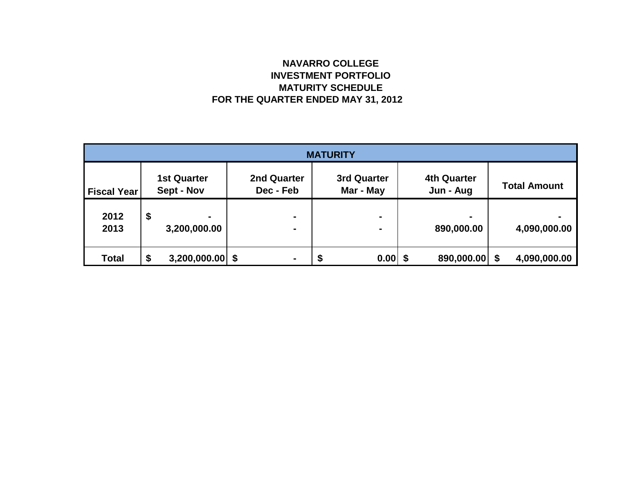# **NAVARRO COLLEGE INVESTMENT PORTFOLIO MATURITY SCHEDULE FOR THE QUARTER ENDED MAY 31, 2012**

| <b>MATURITY</b>    |    |                                  |  |                          |  |                                 |  |                                 |  |                     |  |
|--------------------|----|----------------------------------|--|--------------------------|--|---------------------------------|--|---------------------------------|--|---------------------|--|
| <b>Fiscal Year</b> |    | <b>1st Quarter</b><br>Sept - Nov |  | 2nd Quarter<br>Dec - Feb |  | <b>3rd Quarter</b><br>Mar - May |  | <b>4th Quarter</b><br>Jun - Aug |  | <b>Total Amount</b> |  |
| 2012<br>2013       | \$ | 3,200,000.00                     |  | $\blacksquare$<br>۰      |  |                                 |  | $\blacksquare$<br>890,000.00    |  | 4,090,000.00        |  |
| <b>Total</b>       | \$ | $3,200,000.00$ \$                |  | ۰                        |  | 0.00                            |  | 890,000.00 \$                   |  | 4,090,000.00        |  |